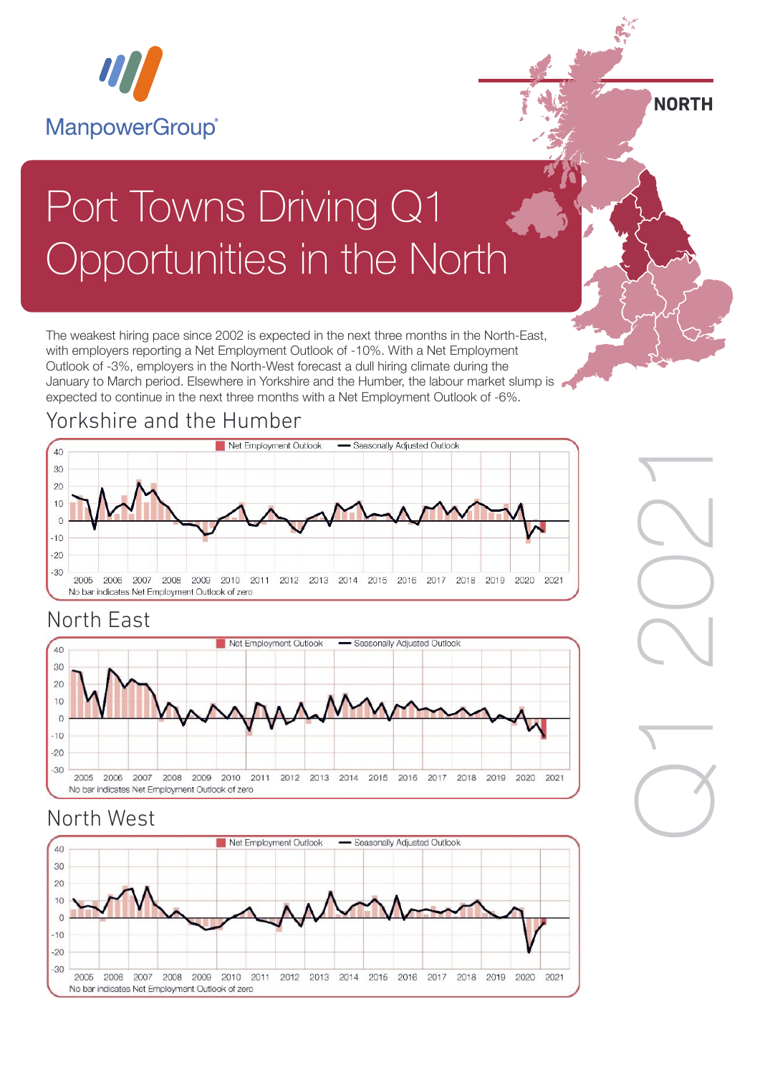

**NORTH**

Q1 2021

# Port Towns Driving Q1 Opportunities in the North

The weakest hiring pace since 2002 is expected in the next three months in the North-East, with employers reporting a Net Employment Outlook of -10%. With a Net Employment Outlook of -3%, employers in the North-West forecast a dull hiring climate during the January to March period. Elsewhere in Yorkshire and the Humber, the labour market slump is expected to continue in the next three months with a Net Employment Outlook of -6%.



### North East



### North West